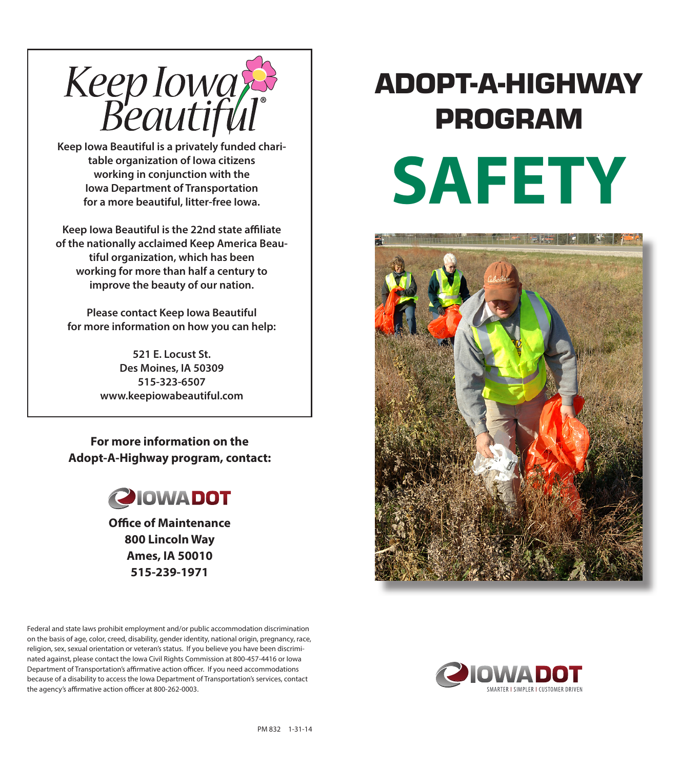

**Keep Iowa Beautiful is a privately funded charitable organization of Iowa citizens working in conjunction with the Iowa Department of Transportation** for a more beautiful, litter-free **Iowa**.

**Keep Iowa Beautiful is the 22nd state affiliate of the nationally acclaimed Keep America Beautiful organization, which has been working for more than half a century to improve the beauty of our nation.**

**Please contact Keep Iowa Beautiful for more information on how you can help:**

> **521 E. Locust St. Des Moines, IA 50309 515-323-6507 www.keepiowabeautiful.com**

**For more information on the Adopt-A-Highway program, contact:**



**Office of Maintenance 800 Lincoln Way Ames, IA 50010 515-239-1971**

# ADOPT-A-HIGHWAY PROGRAM **SAFETY**



Federal and state laws prohibit employment and/or public accommodation discrimination on the basis of age, color, creed, disability, gender identity, national origin, pregnancy, race, religion, sex, sexual orientation or veteran's status. If you believe you have been discriminated against, please contact the Iowa Civil Rights Commission at 800-457-4416 or Iowa Department of Transportation's affirmative action officer. If you need accommodations because of a disability to access the Iowa Department of Transportation's services, contact the agency's affirmative action officer at 800-262-0003.